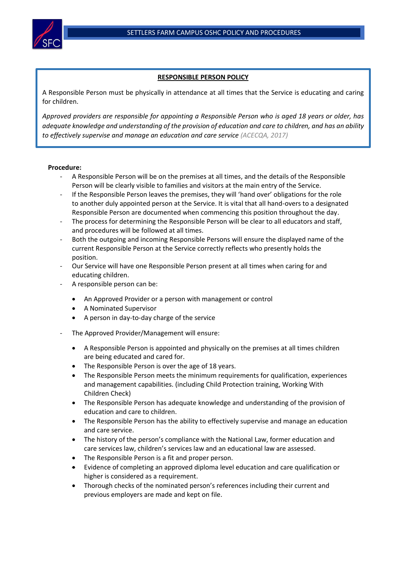

## **RESPONSIBLE PERSON POLICY**

A Responsible Person must be physically in attendance at all times that the Service is educating and caring for children.

*Approved providers are responsible for appointing a Responsible Person who is aged 18 years or older, has adequate knowledge and understanding of the provision of education and care to children, and has an ability to effectively supervise and manage an education and care service (ACECQA, 2017)*

## **Procedure:**

- A Responsible Person will be on the premises at all times, and the details of the Responsible Person will be clearly visible to families and visitors at the main entry of the Service.
- If the Responsible Person leaves the premises, they will 'hand over' obligations for the role to another duly appointed person at the Service. It is vital that all hand-overs to a designated Responsible Person are documented when commencing this position throughout the day.
- The process for determining the Responsible Person will be clear to all educators and staff, and procedures will be followed at all times.
- Both the outgoing and incoming Responsible Persons will ensure the displayed name of the current Responsible Person at the Service correctly reflects who presently holds the position.
- Our Service will have one Responsible Person present at all times when caring for and educating children.
- A responsible person can be:
	- An Approved Provider or a person with management or control
	- A Nominated Supervisor
	- A person in day-to-day charge of the service
- The Approved Provider/Management will ensure:
	- A Responsible Person is appointed and physically on the premises at all times children are being educated and cared for.
	- The Responsible Person is over the age of 18 years.
	- The Responsible Person meets the minimum requirements for qualification, experiences and management capabilities. (including Child Protection training, Working With Children Check)
	- The Responsible Person has adequate knowledge and understanding of the provision of education and care to children.
	- The Responsible Person has the ability to effectively supervise and manage an education and care service.
	- The history of the person's compliance with the National Law, former education and care services law, children's services law and an educational law are assessed.
	- The Responsible Person is a fit and proper person.
	- Evidence of completing an approved diploma level education and care qualification or higher is considered as a requirement.
	- Thorough checks of the nominated person's references including their current and previous employers are made and kept on file.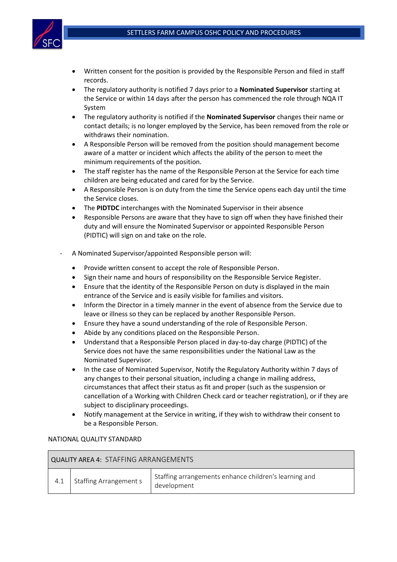

- Written consent for the position is provided by the Responsible Person and filed in staff records.
- The regulatory authority is notified 7 days prior to a **Nominated Supervisor** starting at the Service or within 14 days after the person has commenced the role through NQA IT System
- The regulatory authority is notified if the **Nominated Supervisor** changes their name or contact details; is no longer employed by the Service, has been removed from the role or withdraws their nomination.
- A Responsible Person will be removed from the position should management become aware of a matter or incident which affects the ability of the person to meet the minimum requirements of the position.
- The staff register has the name of the Responsible Person at the Service for each time children are being educated and cared for by the Service.
- A Responsible Person is on duty from the time the Service opens each day until the time the Service closes.
- The **PIDTDC** interchanges with the Nominated Supervisor in their absence
- Responsible Persons are aware that they have to sign off when they have finished their duty and will ensure the Nominated Supervisor or appointed Responsible Person (PIDTIC) will sign on and take on the role.
- A Nominated Supervisor/appointed Responsible person will:
	- Provide written consent to accept the role of Responsible Person.
	- Sign their name and hours of responsibility on the Responsible Service Register.
	- Ensure that the identity of the Responsible Person on duty is displayed in the main entrance of the Service and is easily visible for families and visitors.
	- Inform the Director in a timely manner in the event of absence from the Service due to leave or illness so they can be replaced by another Responsible Person.
	- Ensure they have a sound understanding of the role of Responsible Person.
	- Abide by any conditions placed on the Responsible Person.
	- Understand that a Responsible Person placed in day-to-day charge (PIDTIC) of the Service does not have the same responsibilities under the National Law as the Nominated Supervisor.
	- In the case of Nominated Supervisor, Notify the Regulatory Authority within 7 days of any changes to their personal situation, including a change in mailing address, circumstances that affect their status as fit and proper (such as the suspension or cancellation of a Working with Children Check card or teacher registration), or if they are subject to disciplinary proceedings.
	- Notify management at the Service in writing, if they wish to withdraw their consent to be a Responsible Person.

## NATIONAL QUALITY STANDARD

| QUALITY AREA 4: STAFFING ARRANGEMENTS |                        |                                                                      |  |  |  |
|---------------------------------------|------------------------|----------------------------------------------------------------------|--|--|--|
| 4.1                                   | Staffing Arrangement s | Staffing arrangements enhance children's learning and<br>development |  |  |  |